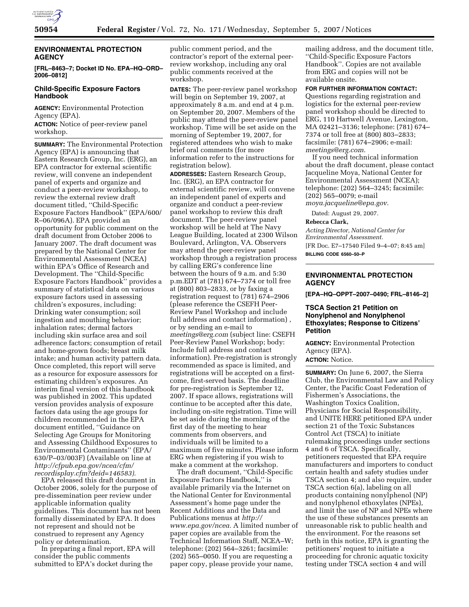

### **ENVIRONMENTAL PROTECTION AGENCY**

**[FRL–8463–7; Docket ID No. EPA–HQ–ORD– 2006–0812]** 

# **Child-Specific Exposure Factors Handbook**

**AGENCY:** Environmental Protection Agency (EPA).

**ACTION:** Notice of peer-review panel workshop.

**SUMMARY:** The Environmental Protection Agency (EPA) is announcing that Eastern Research Group, Inc. (ERG), an EPA contractor for external scientific review, will convene an independent panel of experts and organize and conduct a peer-review workshop, to review the external review draft document titled, ''Child-Specific Exposure Factors Handbook'' (EPA/600/ R–06/096A). EPA provided an opportunity for public comment on the draft document from October 2006 to January 2007. The draft document was prepared by the National Center for Environmental Assessment (NCEA) within EPA's Office of Research and Development. The ''Child-Specific Exposure Factors Handbook'' provides a summary of statistical data on various exposure factors used in assessing children's exposures, including: Drinking water consumption; soil ingestion and mouthing behavior; inhalation rates; dermal factors including skin surface area and soil adherence factors; consumption of retail and home-grown foods; breast milk intake; and human activity pattern data. Once completed, this report will serve as a resource for exposure assessors for estimating children's exposures. An interim final version of this handbook was published in 2002. This updated version provides analysis of exposure factors data using the age groups for children recommended in the EPA document entitled, ''Guidance on Selecting Age Groups for Monitoring and Assessing Childhood Exposures to Environmental Contaminants'' (EPA/ 630/P–03/003F) (Available on line at *http://cfpub.epa.gov/ncea/cfm/ recordisplay.cfm?deid=146583).* 

EPA released this draft document in October 2006, solely for the purpose of pre-dissemination peer review under applicable information quality guidelines. This document has not been formally disseminated by EPA. It does not represent and should not be construed to represent any Agency policy or determination.

In preparing a final report, EPA will consider the public comments submitted to EPA's docket during the

public comment period, and the contractor's report of the external peerreview workshop, including any oral public comments received at the workshop.

**DATES:** The peer-review panel workshop will begin on September 19, 2007, at approximately 8 a.m. and end at 4 p.m. on September 20, 2007. Members of the public may attend the peer-review panel workshop. Time will be set aside on the morning of September 19, 2007, for registered attendees who wish to make brief oral comments (for more information refer to the instructions for registration below).

**ADDRESSES:** Eastern Research Group, Inc. (ERG), an EPA contractor for external scientific review, will convene an independent panel of experts and organize and conduct a peer-review panel workshop to review this draft document. The peer-review panel workshop will be held at The Navy League Building, located at 2300 Wilson Boulevard, Arlington, VA. Observers may attend the peer-review panel workshop through a registration process by calling ERG's conference line between the hours of 9 a.m. and 5:30 p.m.EDT at (781) 674–7374 or toll free at (800) 803–2833, or by faxing a registration request to (781) 674–2906 (please reference the CSEFH Peer-Review Panel Workshop and include full address and contact information) , or by sending an e-mail to *meetings@erg.com* (subject line: CSEFH Peer-Review Panel Workshop; body: Include full address and contact information). Pre-registration is strongly recommended as space is limited, and registrations will be accepted on a firstcome, first-served basis. The deadline for pre-registration is September 12, 2007. If space allows, registrations will continue to be accepted after this date, including on-site registration. Time will be set aside during the morning of the first day of the meeting to hear comments from observers, and individuals will be limited to a maximum of five minutes. Please inform ERG when registering if you wish to make a comment at the workshop.

The draft document, ''Child-Specific Exposure Factors Handbook,'' is available primarily via the Internet on the National Center for Environmental Assessment's home page under the Recent Additions and the Data and Publications menus at *http:// www.epa.gov/ncea.* A limited number of paper copies are available from the Technical Information Staff, NCEA–W; telephone: (202) 564–3261; facsimile: (202) 565–0050. If you are requesting a paper copy, please provide your name,

mailing address, and the document title, ''Child-Specific Exposure Factors Handbook''. Copies are not available from ERG and copies will not be available onsite.

### **FOR FURTHER INFORMATION CONTACT:**

Questions regarding registration and logistics for the external peer-review panel workshop should be directed to ERG, 110 Hartwell Avenue, Lexington, MA 02421–3136; telephone: (781) 674– 7374 or toll free at (800) 803–2833; facsimile: (781) 674–2906; e-mail: *meetings@erg.com.* 

If you need technical information about the draft document, please contact Jacqueline Moya, National Center for Environmental Assessment (NCEA); telephone: (202) 564–3245; facsimile: (202) 565–0079; e-mail

*moya.jacqueline@epa.gov.* 

Dated: August 29, 2007.

**Rebecca Clark,** 

*Acting Director, National Center for Environmental Assessment.*  [FR Doc. E7–17540 Filed 9–4–07; 8:45 am] **BILLING CODE 6560–50–P** 

# **ENVIRONMENTAL PROTECTION AGENCY**

**[EPA–HQ–OPPT–2007–0490; FRL–8146–2]** 

# **TSCA Section 21 Petition on Nonylphenol and Nonylphenol Ethoxylates; Response to Citizens' Petition**

**AGENCY:** Environmental Protection Agency (EPA). **ACTION:** Notice.

**SUMMARY:** On June 6, 2007, the Sierra Club, the Environmental Law and Policy Center, the Pacific Coast Federation of Fishermen's Associations, the Washington Toxics Coalition, Physicians for Social Responsibility, and UNITE HERE petitioned EPA under section 21 of the Toxic Substances Control Act (TSCA) to initiate rulemaking proceedings under sections 4 and 6 of TSCA. Specifically, petitioners requested that EPA require manufacturers and importers to conduct certain health and safety studies under TSCA section 4; and also require, under TSCA section 6(a), labeling on all products containing nonylphenol (NP) and nonylphenol ethoxylates (NPEs), and limit the use of NP and NPEs where the use of these substances presents an unreasonable risk to public health and the environment. For the reasons set forth in this notice, EPA is granting the petitioners' request to initiate a proceeding for chronic aquatic toxicity testing under TSCA section 4 and will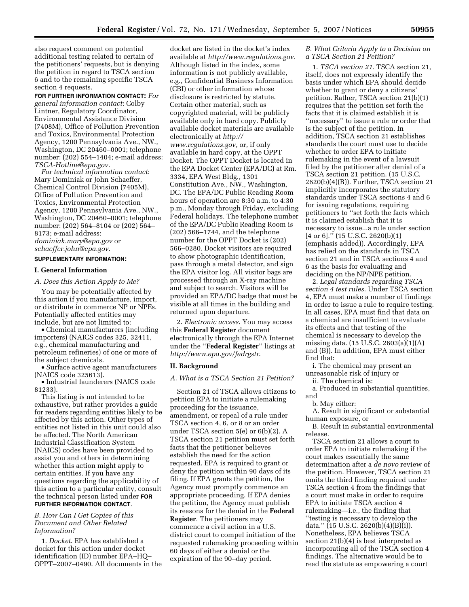also request comment on potential additional testing related to certain of the petitioners' requests, but is denying the petition in regard to TSCA section 6 and to the remaining specific TSCA section 4 requests.

**FOR FURTHER INFORMATION CONTACT:** *For general information contact*: Colby Lintner, Regulatory Coordinator, Environmental Assistance Division (7408M), Office of Pollution Prevention and Toxics, Environmental Protection Agency, 1200 Pennsylvania Ave., NW., Washington, DC 20460–0001; telephone number: (202) 554–1404; e-mail address: *TSCA-Hotline@epa.gov*.

*For technical information contact*: Mary Dominiak or John Schaeffer, Chemical Control Division (7405M), Office of Pollution Prevention and Toxics, Environmental Protection Agency, 1200 Pennsylvania Ave., NW., Washington, DC 20460–0001; telephone number: (202) 564–8104 or (202) 564– 8173; e-mail address: *dominiak.mary@epa.gov* or *schaeffer.john@epa.gov*.

# **SUPPLEMENTARY INFORMATION:**

# **I. General Information**

*A. Does this Action Apply to Me?* 

You may be potentially affected by this action if you manufacture, import, or distribute in commerce NP or NPEs. Potentially affected entities may include, but are not limited to:

• Chemical manufacturers (including importers) (NAICS codes 325, 32411, e.g., chemical manufacturing and petroleum refineries) of one or more of the subject chemicals.

• Surface active agent manufacturers (NAICS code 325613).

• Industrial launderers (NAICS code 81233).

This listing is not intended to be exhaustive, but rather provides a guide for readers regarding entities likely to be affected by this action. Other types of entities not listed in this unit could also be affected. The North American Industrial Classification System (NAICS) codes have been provided to assist you and others in determining whether this action might apply to certain entities. If you have any questions regarding the applicability of this action to a particular entity, consult the technical person listed under **FOR FURTHER INFORMATION CONTACT**.

### *B. How Can I Get Copies of this Document and Other Related Information?*

1. *Docket*. EPA has established a docket for this action under docket identification (ID) number EPA–HQ– OPPT–2007–0490. All documents in the

docket are listed in the docket's index available at *http://www.regulations.gov*. Although listed in the index, some information is not publicly available, e.g., Confidential Business Information (CBI) or other information whose disclosure is restricted by statute. Certain other material, such as copyrighted material, will be publicly available only in hard copy. Publicly available docket materials are available electronically at *http:// www.regulations.gov*, or, if only available in hard copy, at the OPPT Docket. The OPPT Docket is located in the EPA Docket Center (EPA/DC) at Rm. 3334, EPA West Bldg., 1301 Constitution Ave., NW., Washington, DC. The EPA/DC Public Reading Room hours of operation are 8:30 a.m. to 4:30 p.m., Monday through Friday, excluding Federal holidays. The telephone number of the EPA/DC Public Reading Room is (202) 566–1744, and the telephone number for the OPPT Docket is (202) 566–0280. Docket visitors are required to show photographic identification, pass through a metal detector, and sign the EPA visitor log. All visitor bags are processed through an X-ray machine and subject to search. Visitors will be provided an EPA/DC badge that must be visible at all times in the building and returned upon departure.

2. *Electronic access*. You may access this **Federal Register** document electronically through the EPA Internet under the ''**Federal Register**'' listings at *http://www.epa.gov/fedrgstr*.

### **II. Background**

*A. What is a TSCA Section 21 Petition?* 

Section 21 of TSCA allows citizens to petition EPA to initiate a rulemaking proceeding for the issuance, amendment, or repeal of a rule under TSCA section 4, 6, or 8 or an order under TSCA section 5(e) or 6(b)(2). A TSCA section 21 petition must set forth facts that the petitioner believes establish the need for the action requested. EPA is required to grant or deny the petition within 90 days of its filing. If EPA grants the petition, the Agency must promptly commence an appropriate proceeding. If EPA denies the petition, the Agency must publish its reasons for the denial in the **Federal Register**. The petitioners may commence a civil action in a U.S. district court to compel initiation of the requested rulemaking proceeding within 60 days of either a denial or the expiration of the 90–day period.

# *B. What Criteria Apply to a Decision on a TSCA Section 21 Petition?*

1. *TSCA section 21.* TSCA section 21, itself, does not expressly identify the basis under which EPA should decide whether to grant or deny a citizens' petition. Rather, TSCA section 21(b)(1) requires that the petition set forth the facts that it is claimed establish it is ''necessary'' to issue a rule or order that is the subject of the petition. In addition, TSCA section 21 establishes standards the court must use to decide whether to order EPA to initiate rulemaking in the event of a lawsuit filed by the petitioner after denial of a TSCA section 21 petition. (15 U.S.C. 2620(b)(4)(B)). Further, TSCA section 21 implicitly incorporates the statutory standards under TSCA sections 4 and 6 for issuing regulations, requiring petitioners to ''set forth the facts which it is claimed establish that it is necessary to issue...a rule under section  $[4 \text{ or } 6]$ ."  $(15 \text{ U.S.C. } 2620(b)(1))$ (emphasis added)). Accordingly, EPA has relied on the standards in TSCA section 21 and in TSCA sections 4 and 6 as the basis for evaluating and deciding on the NP/NPE petition.

2. *Legal standards regarding TSCA section 4 test rules.* Under TSCA section 4, EPA must make a number of findings in order to issue a rule to require testing. In all cases, EPA must find that data on a chemical are insufficient to evaluate its effects and that testing of the chemical is necessary to develop the missing data. (15 U.S.C. 2603(a)(1)(A) and (B)). In addition, EPA must either find that:

i. The chemical may present an unreasonable risk of injury or

ii. The chemical is:

a. Produced in substantial quantities, and

b. May either:

A. Result in significant or substantial human exposure, or

B. Result in substantial environmental release.

TSCA section 21 allows a court to order EPA to initiate rulemaking if the court makes essentially the same determination after a *de novo* review of the petition. However, TSCA section 21 omits the third finding required under TSCA section 4 from the findings that a court must make in order to require EPA to initiate TSCA section 4 rulemaking—i.e., the finding that ''testing is necessary to develop the data."  $(15 \text{ U.S.C. } 2620(b)(4)(B)(i)).$ Nonetheless, EPA believes TSCA section 21(b)(4) is best interpreted as incorporating all of the TSCA section 4 findings. The alternative would be to read the statute as empowering a court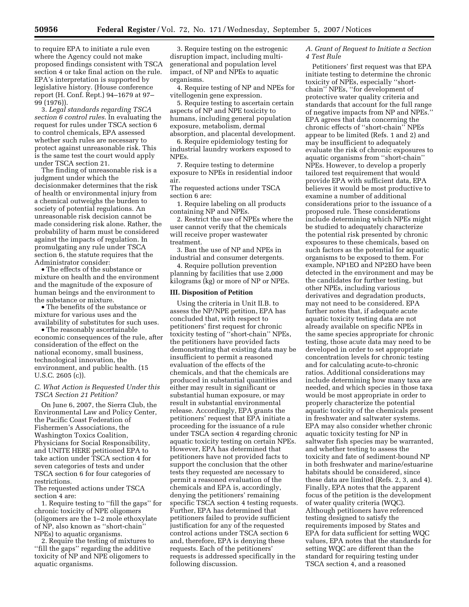to require EPA to initiate a rule even where the Agency could not make proposed findings consistent with TSCA section 4 or take final action on the rule. EPA's interpretation is supported by legislative history. (House conference report (H. Conf. Rept.) 94–1679 at 97– 99 (1976)).

3. *Legal standards regarding TSCA section 6 control rules*. In evaluating the request for rules under TSCA section 6 to control chemicals, EPA assessed whether such rules are necessary to protect against unreasonable risk. This is the same test the court would apply under TSCA section 21.

The finding of unreasonable risk is a judgment under which the decisionmaker determines that the risk of health or environmental injury from a chemical outweighs the burden to society of potential regulations. An unreasonable risk decision cannot be made considering risk alone. Rather, the probability of harm must be considered against the impacts of regulation. In promulgating any rule under TSCA section 6, the statute requires that the Administrator consider:

• The effects of the substance or mixture on health and the environment and the magnitude of the exposure of human beings and the environment to the substance or mixture.

• The benefits of the substance or mixture for various uses and the availability of substitutes for such uses.

• The reasonably ascertainable economic consequences of the rule, after consideration of the effect on the national economy, small business, technological innovation, the environment, and public health. (15 U.S.C. 2605 (c)).

# *C. What Action is Requested Under this TSCA Section 21 Petition?*

On June 6, 2007, the Sierra Club, the Environmental Law and Policy Center, the Pacific Coast Federation of Fishermen's Associations, the Washington Toxics Coalition, Physicians for Social Responsibility, and UNITE HERE petitioned EPA to take action under TSCA section 4 for seven categories of tests and under TSCA section 6 for four categories of restrictions.

The requested actions under TSCA section 4 are:

1. Require testing to ''fill the gaps'' for chronic toxicity of NPE oligomers (oligomers are the 1–2 mole ethoxylate of NP, also known as ''short-chain'' NPEs) to aquatic organisms.

2. Require the testing of mixtures to ''fill the gaps'' regarding the additive toxicity of NP and NPE oligomers to aquatic organisms.

3. Require testing on the estrogenic disruption impact, including multigenerational and population level impact, of NP and NPEs to aquatic organisms.

4. Require testing of NP and NPEs for vitellogenin gene expression.

5. Require testing to ascertain certain aspects of NP and NPE toxicity to humans, including general population exposure, metabolism, dermal absorption, and placental development.

6. Require epidemiology testing for industrial laundry workers exposed to NPEs.

7. Require testing to determine exposure to NPEs in residential indoor air.

The requested actions under TSCA section 6 are:

1. Require labeling on all products containing NP and NPEs.

2. Restrict the use of NPEs where the user cannot verify that the chemicals will receive proper wastewater treatment.

3. Ban the use of NP and NPEs in industrial and consumer detergents.

4. Require pollution prevention planning by facilities that use 2,000 kilograms (kg) or more of NP or NPEs.

#### **III. Disposition of Petition**

Using the criteria in Unit II.B. to assess the NP/NPE petition, EPA has concluded that, with respect to petitioners' first request for chronic toxicity testing of ''short-chain'' NPEs, the petitioners have provided facts demonstrating that existing data may be insufficient to permit a reasoned evaluation of the effects of the chemicals, and that the chemicals are produced in substantial quantities and either may result in significant or substantial human exposure, or may result in substantial environmental release. Accordingly, EPA grants the petitioners' request that EPA initiate a proceeding for the issuance of a rule under TSCA section 4 regarding chronic aquatic toxicity testing on certain NPEs. However, EPA has determined that petitioners have not provided facts to support the conclusion that the other tests they requested are necessary to permit a reasoned evaluation of the chemicals and EPA is, accordingly, denying the petitioners' remaining specific TSCA section 4 testing requests. Further, EPA has determined that petitioners failed to provide sufficient justification for any of the requested control actions under TSCA section 6 and, therefore, EPA is denying these requests. Each of the petitioners' requests is addressed specifically in the following discussion.

# *A. Grant of Request to Initiate a Section 4 Test Rule*

Petitioners' first request was that EPA initiate testing to determine the chronic toxicity of NPEs, especially ''shortchain'' NPEs, ''for development of protective water quality criteria and standards that account for the full range of negative impacts from NP and NPEs.'' EPA agrees that data concerning the chronic effects of ''short-chain'' NPEs appear to be limited (Refs. 1 and 2) and may be insufficient to adequately evaluate the risk of chronic exposures to aquatic organisms from ''short-chain'' NPEs. However, to develop a properly tailored test requirement that would provide EPA with sufficient data, EPA believes it would be most productive to examine a number of additional considerations prior to the issuance of a proposed rule. These considerations include determining which NPEs might be studied to adequately characterize the potential risk presented by chronic exposures to these chemicals, based on such factors as the potential for aquatic organisms to be exposed to them. For example, NP1EO and NP2EO have been detected in the environment and may be the candidates for further testing, but other NPEs, including various derivatives and degradation products, may not need to be considered. EPA further notes that, if adequate acute aquatic toxicity testing data are not already available on specific NPEs in the same species appropriate for chronic testing, those acute data may need to be developed in order to set appropriate concentration levels for chronic testing and for calculating acute-to-chronic ratios. Additional considerations may include determining how many taxa are needed, and which species in those taxa would be most appropriate in order to properly characterize the potential aquatic toxicity of the chemicals present in freshwater and saltwater systems. EPA may also consider whether chronic aquatic toxicity testing for NP in saltwater fish species may be warranted, and whether testing to assess the toxicity and fate of sediment-bound NP in both freshwater and marine/estuarine habitats should be considered, since these data are limited (Refs. 2, 3, and 4). Finally, EPA notes that the apparent focus of the petition is the development of water quality criteria (WQC). Although petitioners have referenced testing designed to satisfy the requirements imposed by States and EPA for data sufficient for setting WQC values, EPA notes that the standards for setting WQC are different than the standard for requiring testing under TSCA section 4, and a reasoned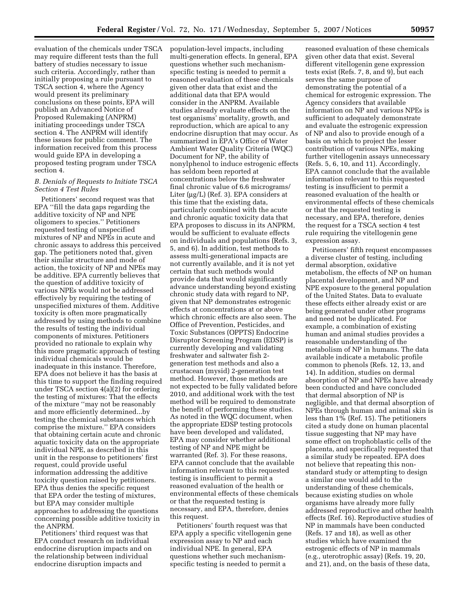evaluation of the chemicals under TSCA may require different tests than the full battery of studies necessary to issue such criteria. Accordingly, rather than initially proposing a rule pursuant to TSCA section 4, where the Agency would present its preliminary conclusions on these points, EPA will publish an Advanced Notice of Proposed Rulemaking (ANPRM) initiating proceedings under TSCA section 4. The ANPRM will identify these issues for public comment. The information received from this process would guide EPA in developing a proposed testing program under TSCA section 4.

# *B. Denials of Requests to Initiate TSCA Section 4 Test Rules*

Petitioners' second request was that EPA ''fill the data gaps regarding the additive toxicity of NP and NPE oligomers to species.'' Petitioners requested testing of unspecified mixtures of NP and NPEs in acute and chronic assays to address this perceived gap. The petitioners noted that, given their similar structure and mode of action, the toxicity of NP and NPEs may be additive. EPA currently believes that the question of additive toxicity of various NPEs would not be addressed effectively by requiring the testing of unspecified mixtures of them. Additive toxicity is often more pragmatically addressed by using methods to combine the results of testing the individual components of mixtures. Petitioners provided no rationale to explain why this more pragmatic approach of testing individual chemicals would be inadequate in this instance. Therefore, EPA does not believe it has the basis at this time to support the finding required under TSCA section 4(a)(2) for ordering the testing of mixtures: That the effects of the mixture ''may not be reasonably and more efficiently determined...by testing the chemical substances which comprise the mixture.'' EPA considers that obtaining certain acute and chronic aquatic toxicity data on the appropriate individual NPE, as described in this unit in the response to petitioners' first request, could provide useful information addressing the additive toxicity question raised by petitioners. EPA thus denies the specific request that EPA order the testing of mixtures, but EPA may consider multiple approaches to addressing the questions concerning possible additive toxicity in the ANPRM.

Petitioners' third request was that EPA conduct research on individual endocrine disruption impacts and on the relationship between individual endocrine disruption impacts and

population-level impacts, including multi-generation effects. In general, EPA questions whether such mechanismspecific testing is needed to permit a reasoned evaluation of these chemicals given other data that exist and the additional data that EPA would consider in the ANPRM. Available studies already evaluate effects on the test organisms' mortality, growth, and reproduction, which are apical to any endocrine disruption that may occur. As summarized in EPA's Office of Water Ambient Water Quality Criteria (WQC) Document for NP, the ability of nonylphenol to induce estrogenic effects has seldom been reported at concentrations below the freshwater final chronic value of 6.6 micrograms/ Liter (µg/L) (Ref. 3). EPA considers at this time that the existing data, particularly combined with the acute and chronic aquatic toxicity data that EPA proposes to discuss in its ANPRM, would be sufficient to evaluate effects on individuals and populations (Refs. 3, 5, and 6). In addition, test methods to assess multi-generational impacts are not currently available, and it is not yet certain that such methods would provide data that would significantly advance understanding beyond existing chronic study data with regard to NP, given that NP demonstrates estrogenic effects at concentrations at or above which chronic effects are also seen. The Office of Prevention, Pesticides, and Toxic Substances (OPPTS) Endocrine Disruptor Screening Program (EDSP) is currently developing and validating freshwater and saltwater fish 2 generation test methods and also a crustacean (mysid) 2-generation test method. However, those methods are not expected to be fully validated before 2010, and additional work with the test method will be required to demonstrate the benefit of performing these studies. As noted in the WQC document, when the appropriate EDSP testing protocols have been developed and validated, EPA may consider whether additional testing of NP and NPE might be warranted (Ref. 3). For these reasons, EPA cannot conclude that the available information relevant to this requested testing is insufficient to permit a reasoned evaluation of the health or environmental effects of these chemicals or that the requested testing is necessary, and EPA, therefore, denies this request.

Petitioners' fourth request was that EPA apply a specific vitellogenin gene expression assay to NP and each individual NPE. In general, EPA questions whether such mechanismspecific testing is needed to permit a

reasoned evaluation of these chemicals given other data that exist. Several different vitellogenin gene expression tests exist (Refs. 7, 8, and 9), but each serves the same purpose of demonstrating the potential of a chemical for estrogenic expression. The Agency considers that available information on NP and various NPEs is sufficient to adequately demonstrate and evaluate the estrogenic expression of NP and also to provide enough of a basis on which to project the lesser contribution of various NPEs, making further vitellogenin assays unnecessary (Refs. 5, 6, 10, and 11). Accordingly, EPA cannot conclude that the available information relevant to this requested testing is insufficient to permit a reasoned evaluation of the health or environmental effects of these chemicals or that the requested testing is necessary, and EPA, therefore, denies the request for a TSCA section 4 test rule requiring the vitellogenin gene expression assay.

Petitioners' fifth request encompasses a diverse cluster of testing, including dermal absorption, oxidative metabolism, the effects of NP on human placental development, and NP and NPE exposure to the general population of the United States. Data to evaluate these effects either already exist or are being generated under other programs and need not be duplicated. For example, a combination of existing human and animal studies provides a reasonable understanding of the metabolism of NP in humans. The data available indicate a metabolic profile common to phenols (Refs. 12, 13, and 14). In addition, studies on dermal absorption of NP and NPEs have already been conducted and have concluded that dermal absorption of NP is negligible, and that dermal absorption of NPEs through human and animal skin is less than 1% (Ref. 15). The petitioners cited a study done on human placental tissue suggesting that NP may have some effect on trophoblastic cells of the placenta, and specifically requested that a similar study be repeated. EPA does not believe that repeating this nonstandard study or attempting to design a similar one would add to the understanding of these chemicals, because existing studies on whole organisms have already more fully addressed reproductive and other health effects (Ref. 16). Reproductive studies of NP in mammals have been conducted (Refs. 17 and 18), as well as other studies which have examined the estrogenic effects of NP in mammals (e.g., uterotrophic assay) (Refs. 19, 20, and 21), and, on the basis of these data,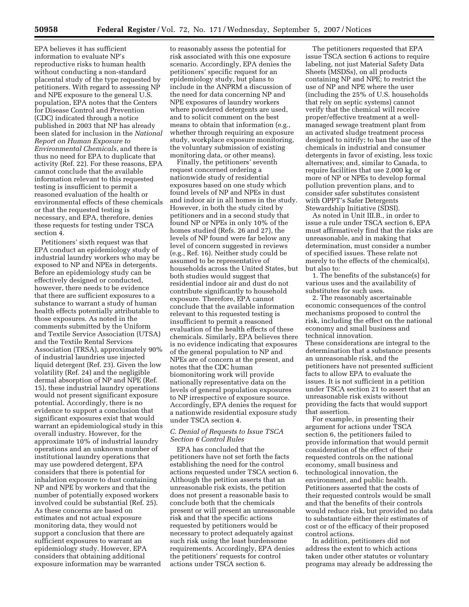EPA believes it has sufficient information to evaluate NP's reproductive risks to human health without conducting a non-standard placental study of the type requested by petitioners. With regard to assessing NP and NPE exposure to the general U.S. population, EPA notes that the Centers for Disease Control and Prevention (CDC) indicated through a notice published in 2003 that NP has already been slated for inclusion in the *National Report on Human Exposure to Environmental Chemicals*, and there is thus no need for EPA to duplicate that activity (Ref. 22). For these reasons, EPA cannot conclude that the available information relevant to this requested testing is insufficient to permit a reasoned evaluation of the health or environmental effects of these chemicals or that the requested testing is necessary, and EPA, therefore, denies these requests for testing under TSCA section 4.

Petitioners' sixth request was that EPA conduct an epidemiology study of industrial laundry workers who may be exposed to NP and NPEs in detergents. Before an epidemiology study can be effectively designed or conducted, however, there needs to be evidence that there are sufficient exposures to a substance to warrant a study of human health effects potentially attributable to those exposures. As noted in the comments submitted by the Uniform and Textile Service Association (UTSA) and the Textile Rental Services Association (TRSA), approximately 90% of industrial laundries use injected liquid detergent (Ref. 23). Given the low volatility (Ref. 24) and the negligible dermal absorption of NP and NPE (Ref. 15), these industrial laundry operations would not present significant exposure potential. Accordingly, there is no evidence to support a conclusion that significant exposures exist that would warrant an epidemiological study in this overall industry. However, for the approximate 10% of industrial laundry operations and an unknown number of institutional laundry operations that may use powdered detergent, EPA considers that there is potential for inhalation exposure to dust containing NP and NPE by workers and that the number of potentially exposed workers involved could be substantial (Ref. 25). As these concerns are based on estimates and not actual exposure monitoring data, they would not support a conclusion that there are sufficient exposures to warrant an epidemiology study. However, EPA considers that obtaining additional exposure information may be warranted

to reasonably assess the potential for risk associated with this one exposure scenario. Accordingly, EPA denies the petitioners' specific request for an epidemiology study, but plans to include in the ANPRM a discussion of the need for data concerning NP and NPE exposures of laundry workers where powdered detergents are used, and to solicit comment on the best means to obtain that information (e.g., whether through requiring an exposure study, workplace exposure monitoring, the voluntary submission of existing monitoring data, or other means).

Finally, the petitioners' seventh request concerned ordering a nationwide study of residential exposures based on one study which found levels of NP and NPEs in dust and indoor air in all homes in the study. However, in both the study cited by petitioners and in a second study that found NP or NPEs in only 10% of the homes studied (Refs. 26 and 27), the levels of NP found were far below any level of concern suggested in reviews (e.g., Ref. 16). Neither study could be assumed to be representative of households across the United States, but both studies would suggest that residential indoor air and dust do not contribute significantly to household exposure. Therefore, EPA cannot conclude that the available information relevant to this requested testing is insufficient to permit a reasoned evaluation of the health effects of these chemicals. Similarly, EPA believes there is no evidence indicating that exposures of the general population to NP and NPEs are of concern at the present, and notes that the CDC human biomonitoring work will provide nationally representative data on the levels of general population exposures to NP irrespective of exposure source. Accordingly, EPA denies the request for a nationwide residential exposure study under TSCA section 4.

### *C. Denial of Requests to Issue TSCA Section 6 Control Rules*

EPA has concluded that the petitioners have not set forth the facts establishing the need for the control actions requested under TSCA section 6. Although the petition asserts that an unreasonable risk exists, the petition does not present a reasonable basis to conclude both that the chemicals present or will present an unreasonable risk and that the specific actions requested by petitioners would be necessary to protect adequately against such risk using the least burdensome requirements. Accordingly, EPA denies the petitioners' requests for control actions under TSCA section 6.

The petitioners requested that EPA issue TSCA section 6 actions to require labeling, not just Material Safety Data Sheets (MSDSs), on all products containing NP and NPE; to restrict the use of NP and NPE where the user (including the 25% of U.S. households that rely on septic systems) cannot verify that the chemical will receive proper/effective treatment at a wellmanaged sewage treatment plant from an activated sludge treatment process designed to nitrify; to ban the use of the chemicals in industrial and consumer detergents in favor of existing, less toxic alternatives; and, similar to Canada, to require facilities that use 2,000 kg or more of NP or NPEs to develop formal pollution prevention plans, and to consider safer substitutes consistent with OPPT's Safer Detergents Stewardship Initiative (SDSI).

As noted in Unit III.B., in order to issue a rule under TSCA section 6, EPA must affirmatively find that the risks are unreasonable, and in making that determination, must consider a number of specified issues. These relate not merely to the effects of the chemical(s), but also to:

1. The benefits of the substance(s) for various uses and the availability of substitutes for such uses.

2. The reasonably ascertainable economic consequences of the control mechanisms proposed to control the risk, including the effect on the national economy and small business and technical innovation. These considerations are integral to the determination that a substance presents an unreasonable risk, and the petitioners have not presented sufficient facts to allow EPA to evaluate the issues. It is not sufficient in a petition under TSCA section 21 to assert that an unreasonable risk exists without providing the facts that would support that assertion.

For example, in presenting their argument for actions under TSCA section 6, the petitioners failed to provide information that would permit consideration of the effect of their requested controls on the national economy, small business and technological innovation, the environment, and public health. Petitioners asserted that the costs of their requested controls would be small and that the benefits of their controls would reduce risk, but provided no data to substantiate either their estimates of cost or of the efficacy of their proposed control actions.

In addition, petitioners did not address the extent to which actions taken under other statutes or voluntary programs may already be addressing the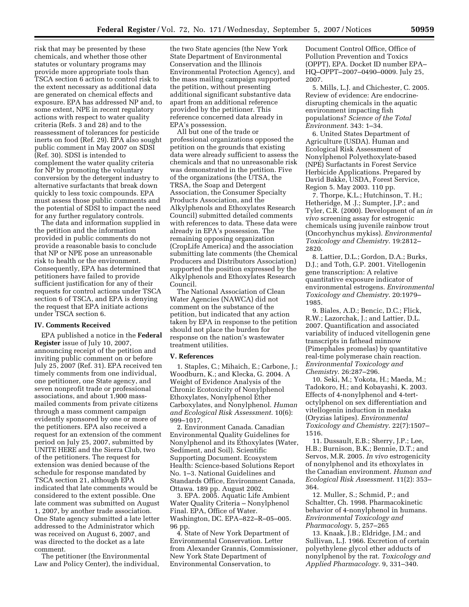risk that may be presented by these chemicals, and whether those other statutes or voluntary programs may provide more appropriate tools than TSCA section 6 action to control risk to the extent necessary as additional data are generated on chemical effects and exposure. EPA has addressed NP and, to some extent, NPE in recent regulatory actions with respect to water quality criteria (Refs. 3 and 28) and to the reassessment of tolerances for pesticide inerts on food (Ref. 29). EPA also sought public comment in May 2007 on SDSI (Ref. 30). SDSI is intended to complement the water quality criteria for NP by promoting the voluntary conversion by the detergent industry to alternative surfactants that break down quickly to less toxic compounds. EPA must assess those public comments and the potential of SDSI to impact the need for any further regulatory controls.

The data and information supplied in the petition and the information provided in public comments do not provide a reasonable basis to conclude that NP or NPE pose an unreasonable risk to health or the environment. Consequently, EPA has determined that petitioners have failed to provide sufficient justification for any of their requests for control actions under TSCA section 6 of TSCA, and EPA is denying the request that EPA initiate actions under TSCA section 6.

### **IV. Comments Received**

EPA published a notice in the **Federal Register** issue of July 10, 2007, announcing receipt of the petition and inviting public comment on or before July 25, 2007 (Ref. 31). EPA received ten timely comments from one individual, one petitioner, one State agency, and seven nonprofit trade or professional associations, and about 1,900 massmailed comments from private citizens through a mass comment campaign evidently sponsored by one or more of the petitioners. EPA also received a request for an extension of the comment period on July 25, 2007, submitted by UNITE HERE and the Sierra Club, two of the petitioners. The request for extension was denied because of the schedule for response mandated by TSCA section 21, although EPA indicated that late comments would be considered to the extent possible. One late comment was submitted on August 1, 2007, by another trade association. One State agency submitted a late letter addressed to the Administrator which was received on August 6, 2007, and was directed to the docket as a late comment.

The petitioner (the Environmental Law and Policy Center), the individual,

the two State agencies (the New York State Department of Environmental Conservation and the Illinois Environmental Protection Agency), and the mass mailing campaign supported the petition, without presenting additional significant substantive data apart from an additional reference provided by the petitioner. This reference concerned data already in EPA's possession.

All but one of the trade or professional organizations opposed the petition on the grounds that existing data were already sufficient to assess the chemicals and that no unreasonable risk was demonstrated in the petition. Five of the organizations (the UTSA, the TRSA, the Soap and Detergent Association, the Consumer Specialty Products Association, and the Alkylphenols and Ethoxylates Research Council) submitted detailed comments with references to data. These data were already in EPA's possession. The remaining opposing organization (CropLife America) and the association submitting late comments (the Chemical Producers and Distributors Association) supported the position expressed by the Alkylphenols and Ethoxylates Research Council.

The National Association of Clean Water Agencies (NAWCA) did not comment on the substance of the petition, but indicated that any action taken by EPA in response to the petition should not place the burden for response on the nation's wastewater treatment utilities.

#### **V. References**

1. Staples, C.; Mihaich, E.; Carbone, J.; Woodburn, K.; and Klecka, G. 2004. A Weight of Evidence Analysis of the Chronic Ecotoxicity of Nonylphenol Ethoxylates, Nonylphenol Ether Carboxylates, and Nonylphenol. *Human and Ecological Risk Assessment*. 10(6): 999–1017.

2. Environment Canada. Canadian Environmental Quality Guidelines for Nonylphenol and its Ethoxylates (Water, Sediment, and Soil). Scientific Supporting Document. Ecosystem Health: Science-based Solutions Report No. 1–3. National Guidelines and Standards Office, Environment Canada, Ottawa. 189 pp. August 2002.

3. EPA. 2005. Aquatic Life Ambient Water Quality Criteria – Nonylphenol Final. EPA, Office of Water. Washington, DC. EPA–822–R–05–005. 96 pp.

4. State of New York Department of Environmental Conservation. Letter from Alexander Grannis, Commissioner, New York State Department of Environmental Conservation, to

Document Control Office, Office of Pollution Prevention and Toxics (OPPT), EPA. Docket ID number EPA– HQ–OPPT–2007–0490–0009. July 25, 2007.

5. Mills, L.J. and Chichester, C. 2005. Review of evidence: Are endocrinedisrupting chemicals in the aquatic environment impacting fish populations? *Science of the Total Environment*. 343: 1–34.

6. United States Department of Agriculture (USDA). Human and Ecological Risk Assessment of Nonylphenol Polyethoxylate-based (NPE) Surfactants in Forest Service Herbicide Applications. Prepared by David Bakke, USDA, Forest Service, Region 5. May 2003. 110 pp.

7. Thorpe, K.L.; Hutchinson, T. H.; Hetheridge, M .J.; Sumpter, J.P.; and Tyler, C.R. (2000). Development of an *in vivo* screening assay for estrogenic chemicals using juvenile rainbow trout (Oncorhynchus mykiss). *Environmental Toxicology and Chemistry*. 19:2812– 2820.

8. Lattier, D.L.; Gordon, D.A.; Burks, D.J.; and Toth, G.P. 2001. Vitellogenin gene transcription: A relative quantitative exposure indicator of environmental estrogens. *Environmental Toxicology and Chemistry*. 20:1979– 1985.

9. Biales, A.D.; Bencic, D.C.; Flick, R.W.; Lazorchak, J.; and Lattier, D.L. 2007. Quantification and associated variability of induced vitellogenin gene transcripts in fathead minnow (Pimephales promelas) by quantitative real-time polymerase chain reaction. *Environmental Toxicology and Chemistry*. 26:287–296.

10. Seki, M.; Yokota, H.; Maeda, M.; Tadokoro, H.; and Kobayashi, K. 2003. Effects of 4-nonylphenol and 4-tertoctylphenol on sex differentiation and vitellogenin induction in medaka (Oryzias latipes). *Environmental Toxicology and Chemistry*. 22(7):1507– 1516.

11. Dussault, E.B.; Sherry, J.P.; Lee, H.B.; Burnison, B.K.; Bennie, D.T.; and Servos, M.R. 2005. *In vivo* estrogenicity of nonylphenol and its ethoxylates in the Canadian environment. *Human and Ecological Risk Assessment*. 11(2): 353– 364.

12. Muller, S.; Schmid, P.; and Schaltter, Ch. 1998. Pharmacokinetic behavior of 4-nonylphenol in humans. *Environmental Toxicology and Pharmacology*. 5, 257–265

13. Knaak, J.B.; Eldridge, J.M.; and Sullivan, L.J. 1966. Excretion of certain polyethylene glycol ether adducts of nonylphenol by the rat. *Toxicology and Applied Pharmacology*. 9, 331–340.